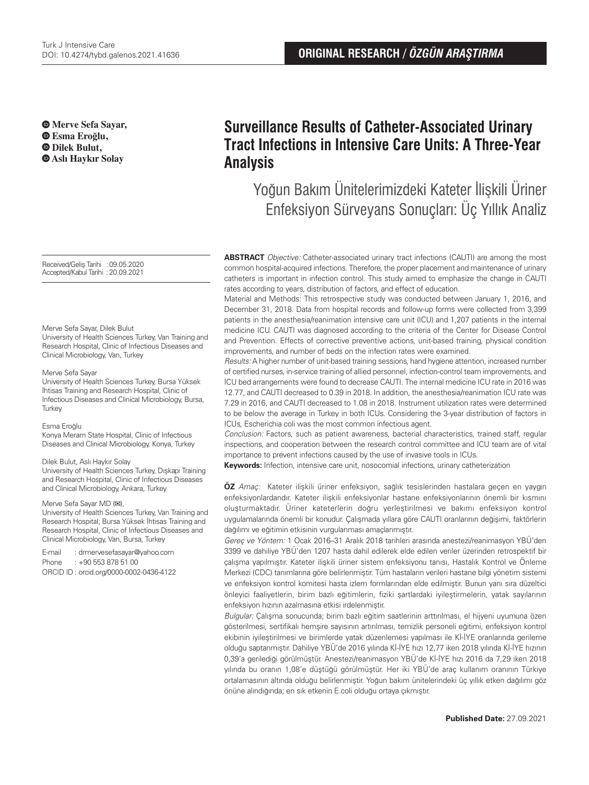**Merve Sefa Sayar, Esma Eroğlu, Dilek Bulut, Aslı Haykır Solay**

Received/Geliş Tarihi :09.05.2020 Accepted/Kabul Tarihi :20.09.2021

Merve Sefa Sayar, Dilek Bulut

University of Health Sciences Turkey, Van Training and Research Hospital, Clinic of Infectious Diseases and Clinical Microbiology, Van, Turkey

#### Merve Sefa Sayar

University of Health Sciences Turkey, Bursa Yüksek İhtisas Training and Research Hospital, Clinic of Infectious Diseases and Clinical Microbiology, Bursa, **Turkey** 

#### Esma Eroğlu

Konya Meram State Hospital, Clinic of Infectious Diseases and Clinical Microbiology, Konya, Turkey

#### Dilek Bulut, Aslı Haykır Solay

University of Health Sciences Turkey, Dışkapı Training and Research Hospital, Clinic of Infectious Diseases and Clinical Microbiology, Ankara, Turkey

#### Merve Sefa Sayar MD (**✉**),

University of Health Sciences Turkey, Van Training and Research Hospital; Bursa Yüksek İhtisas Training and Research Hospital, Clinic of Infectious Diseases and Clinical Microbiology, Van, Bursa, Turkey

E-mail : drmervesefasayar@yahoo.com Phone : +90 553 878 51 00 ORCID ID : orcid.org/0000-0002-0436-4122

# **Surveillance Results of Catheter-Associated Urinary Tract Infections in Intensive Care Units: A Three-Year Analysis**

# Yoğun Bakım Ünitelerimizdeki Kateter İlişkili Üriner Enfeksiyon Sürveyans Sonuçları: Üç Yıllık Analiz

**ABSTRACT** Objective: Catheter-associated urinary tract infections (CAUTI) are among the most common hospital-acquired infections. Therefore, the proper placement and maintenance of urinary catheters is important in infection control. This study aimed to emphasize the change in CAUTI rates according to years, distribution of factors, and effect of education.

Material and Methods: This retrospective study was conducted between January 1, 2016, and December 31, 2018. Data from hospital records and follow-up forms were collected from 3,399 patients in the anesthesia/reanimation intensive care unit (ICU) and 1,207 patients in the internal medicine ICU. CAUTI was diagnosed according to the criteria of the Center for Disease Control and Prevention. Effects of corrective preventive actions, unit-based training, physical condition improvements, and number of beds on the infection rates were examined.

Results: A higher number of unit-based training sessions, hand hygiene attention, increased number of certified nurses, in-service training of allied personnel, infection-control team improvements, and ICU bed arrangements were found to decrease CAUTI. The internal medicine ICU rate in 2016 was 12.77, and CAUTI decreased to 0.39 in 2018. In addition, the anesthesia/reanimation ICU rate was 7.29 in 2016, and CAUTI decreased to 1.08 in 2018. Instrument utilization rates were determined to be below the average in Turkey in both ICUs. Considering the 3-year distribution of factors in ICUs, Escherichia coli was the most common infectious agent.

Conclusion: Factors, such as patient awareness, bacterial characteristics, trained staff, regular inspections, and cooperation between the research control committee and ICU team are of vital importance to prevent infections caused by the use of invasive tools in ICUs.

**Keywords:** Infection, intensive care unit, nosocomial infections, urinary catheterization

**ÖZ** Amaç: Kateter ilişkili üriner enfeksiyon, sağlık tesislerinden hastalara geçen en yaygın enfeksiyonlardandır. Kateter ilişkili enfeksiyonlar hastane enfeksiyonlarının önemli bir kısmını oluşturmaktadır. Üriner kateterlerin doğru yerleştirilmesi ve bakımı enfeksiyon kontrol uygulamalarında önemli bir konudur. Çalışmada yıllara göre CAUTI oranlarının değişimi, faktörlerin dağılımı ve eğitimin etkisinin vurgulanması amaçlanmıştır.

Gereç ve Yöntem: 1 Ocak 2016–31 Aralık 2018 tarihleri arasında anestezi/reanimasyon YBÜ'den 3399 ve dahiliye YBÜ'den 1207 hasta dahil edilerek elde edilen veriler üzerinden retrospektif bir çalışma yapılmıştır. Kateter ilişkili üriner sistem enfeksiyonu tanısı, Hastalık Kontrol ve Önleme Merkezi (CDC) tanımlarına göre belirlenmiştir. Tüm hastaların verileri hastane bilgi yönetim sistemi ve enfeksiyon kontrol komitesi hasta izlem formlarından elde edilmiştir. Bunun yanı sıra düzeltici önleyici faaliyetlerin, birim bazlı eğitimlerin, fiziki şartlardaki iyileştirmelerin, yatak sayılarının enfeksiyon hızının azalmasına etkisi irdelenmiştir.

Bulgular: Çalışma sonucunda; birim bazlı eğitim saatlerinin arttırılması, el hijyeni uyumuna özen gösterilmesi, sertifikalı hemşire sayısının artırılması, temizlik personeli eğitimi, enfeksiyon kontrol ekibinin iyileştirilmesi ve birimlerde yatak düzenlemesi yapılması ile Kİ-İYE oranlarında gerileme olduğu saptanmıştır. Dahiliye YBÜ'de 2016 yılında Kİ-İYE hızı 12,77 iken 2018 yılında Kİ-İYE hızının 0,39'a gerilediği görülmüştür. Anestezi/reanimasyon YBÜ'de Kİ-İYE hızı 2016 da 7,29 iken 2018 yılında bu oranın 1,08'e düştüğü görülmüştür. Her iki YBÜ'de araç kullanım oranının Türkiye ortalamasının altında olduğu belirlenmiştir. Yoğun bakım ünitelerindeki üç yıllık etken dağılımı göz önüne alındığında; en sık etkenin E.coli olduğu ortaya çıkmıştır.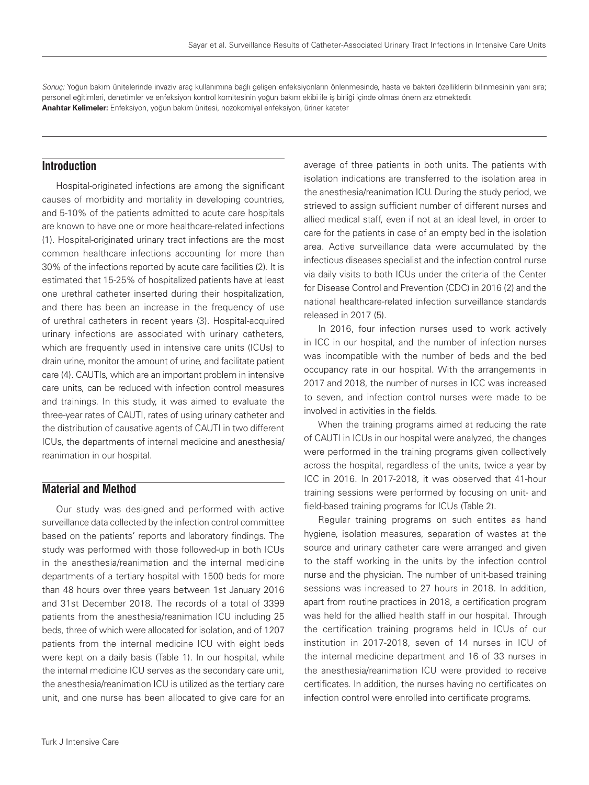Sonuç: Yoğun bakım ünitelerinde invaziv araç kullanımına bağlı gelişen enfeksiyonların önlenmesinde, hasta ve bakteri özelliklerin bilinmesinin yanı sıra; personel eğitimleri, denetimler ve enfeksiyon kontrol komitesinin yoğun bakım ekibi ile iş birliği içinde olması önem arz etmektedir. **Anahtar Kelimeler:** Enfeksiyon, yoğun bakım ünitesi, nozokomiyal enfeksiyon, üriner kateter

## **Introduction**

Hospital-originated infections are among the significant causes of morbidity and mortality in developing countries, and 5-10% of the patients admitted to acute care hospitals are known to have one or more healthcare-related infections (1). Hospital-originated urinary tract infections are the most common healthcare infections accounting for more than 30% of the infections reported by acute care facilities (2). It is estimated that 15-25% of hospitalized patients have at least one urethral catheter inserted during their hospitalization, and there has been an increase in the frequency of use of urethral catheters in recent years (3). Hospital-acquired urinary infections are associated with urinary catheters, which are frequently used in intensive care units (ICUs) to drain urine, monitor the amount of urine, and facilitate patient care (4). CAUTIs, which are an important problem in intensive care units, can be reduced with infection control measures and trainings. In this study, it was aimed to evaluate the three-year rates of CAUTI, rates of using urinary catheter and the distribution of causative agents of CAUTI in two different ICUs, the departments of internal medicine and anesthesia/ reanimation in our hospital.

## **Material and Method**

Our study was designed and performed with active surveillance data collected by the infection control committee based on the patients' reports and laboratory findings. The study was performed with those followed-up in both ICUs in the anesthesia/reanimation and the internal medicine departments of a tertiary hospital with 1500 beds for more than 48 hours over three years between 1st January 2016 and 31st December 2018. The records of a total of 3399 patients from the anesthesia/reanimation ICU including 25 beds, three of which were allocated for isolation, and of 1207 patients from the internal medicine ICU with eight beds were kept on a daily basis (Table 1). In our hospital, while the internal medicine ICU serves as the secondary care unit, the anesthesia/reanimation ICU is utilized as the tertiary care unit, and one nurse has been allocated to give care for an average of three patients in both units. The patients with isolation indications are transferred to the isolation area in the anesthesia/reanimation ICU. During the study period, we strieved to assign sufficient number of different nurses and allied medical staff, even if not at an ideal level, in order to care for the patients in case of an empty bed in the isolation area. Active surveillance data were accumulated by the infectious diseases specialist and the infection control nurse via daily visits to both ICUs under the criteria of the Center for Disease Control and Prevention (CDC) in 2016 (2) and the national healthcare-related infection surveillance standards released in 2017 (5).

In 2016, four infection nurses used to work actively in ICC in our hospital, and the number of infection nurses was incompatible with the number of beds and the bed occupancy rate in our hospital. With the arrangements in 2017 and 2018, the number of nurses in ICC was increased to seven, and infection control nurses were made to be involved in activities in the fields.

When the training programs aimed at reducing the rate of CAUTI in ICUs in our hospital were analyzed, the changes were performed in the training programs given collectively across the hospital, regardless of the units, twice a year by ICC in 2016. In 2017-2018, it was observed that 41-hour training sessions were performed by focusing on unit- and field-based training programs for ICUs (Table 2).

Regular training programs on such entites as hand hygiene, isolation measures, separation of wastes at the source and urinary catheter care were arranged and given to the staff working in the units by the infection control nurse and the physician. The number of unit-based training sessions was increased to 27 hours in 2018. In addition, apart from routine practices in 2018, a certification program was held for the allied health staff in our hospital. Through the certification training programs held in ICUs of our institution in 2017-2018, seven of 14 nurses in ICU of the internal medicine department and 16 of 33 nurses in the anesthesia/reanimation ICU were provided to receive certificates. In addition, the nurses having no certificates on infection control were enrolled into certificate programs.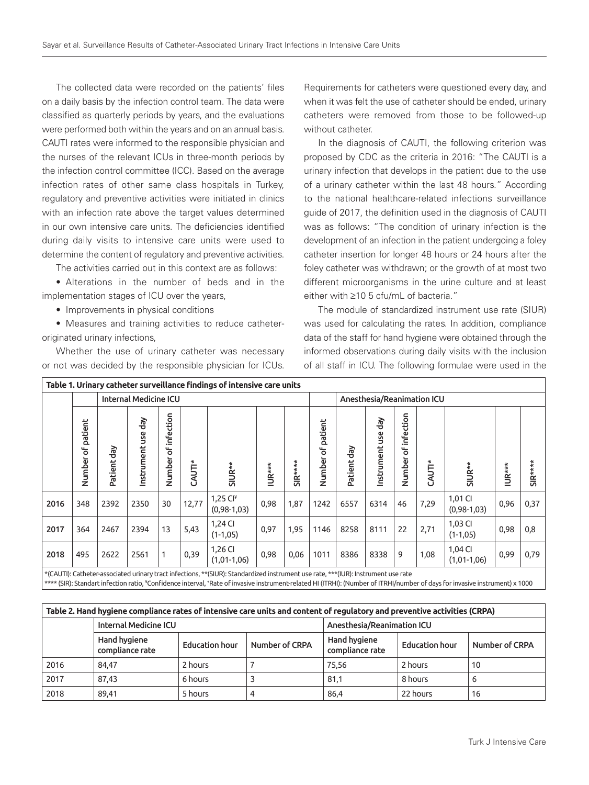The collected data were recorded on the patients' files on a daily basis by the infection control team. The data were classified as quarterly periods by years, and the evaluations were performed both within the years and on an annual basis. CAUTI rates were informed to the responsible physician and the nurses of the relevant ICUs in three-month periods by the infection control committee (ICC). Based on the average infection rates of other same class hospitals in Turkey, regulatory and preventive activities were initiated in clinics with an infection rate above the target values determined in our own intensive care units. The deficiencies identified during daily visits to intensive care units were used to determine the content of regulatory and preventive activities.

The activities carried out in this context are as follows:

• Alterations in the number of beds and in the implementation stages of ICU over the years,

• Improvements in physical conditions

• Measures and training activities to reduce catheteroriginated urinary infections,

Whether the use of urinary catheter was necessary or not was decided by the responsible physician for ICUs.

Requirements for catheters were questioned every day, and when it was felt the use of catheter should be ended, urinary catheters were removed from those to be followed-up without catheter.

In the diagnosis of CAUTI, the following criterion was proposed by CDC as the criteria in 2016: "The CAUTI is a urinary infection that develops in the patient due to the use of a urinary catheter within the last 48 hours." According to the national healthcare-related infections surveillance guide of 2017, the definition used in the diagnosis of CAUTI was as follows: "The condition of urinary infection is the development of an infection in the patient undergoing a foley catheter insertion for longer 48 hours or 24 hours after the foley catheter was withdrawn; or the growth of at most two different microorganisms in the urine culture and at least either with ≥10 5 cfu/mL of bacteria."

The module of standardized instrument use rate (SIUR) was used for calculating the rates. In addition, compliance data of the staff for hand hygiene were obtained through the informed observations during daily visits with the inclusion of all staff in ICU. The following formulae were used in the

| Table 1. Urinary catheter surveillance findings of intensive care units |                      |                              |                       |                          |        |                                  |        |          |                        |                            |                      |                                            |        |                              |        |          |
|-------------------------------------------------------------------------|----------------------|------------------------------|-----------------------|--------------------------|--------|----------------------------------|--------|----------|------------------------|----------------------------|----------------------|--------------------------------------------|--------|------------------------------|--------|----------|
|                                                                         |                      | <b>Internal Medicine ICU</b> |                       |                          |        |                                  |        |          |                        | Anesthesia/Reanimation ICU |                      |                                            |        |                              |        |          |
|                                                                         | of patient<br>Number | ਫ਼ੈ<br>Patient               | ĞP<br>š<br>Instrument | infection<br>ჼ<br>Number | CAUTI* | SIUR**                           | IUR*** | $SIR***$ | patient<br>ჼ<br>Number | ਫ਼ੌ<br>Patient             | ਰੈ<br>Instrument use | infection<br>$\overline{\sigma}$<br>Number | CAUTI* | SIUR**                       | IUR*** | SIR***** |
| 2016                                                                    | 348                  | 2392                         | 2350                  | 30                       | 12,77  | 1,25 $Cl^*$<br>$(0, 98 - 1, 03)$ | 0,98   | 1,87     | 1242                   | 6557                       | 6314                 | 46                                         | 7,29   | 1,01 CI<br>$(0, 98 - 1, 03)$ | 0,96   | 0,37     |
| 2017                                                                    | 364                  | 2467                         | 2394                  | 13                       | 5,43   | 1,24 CI<br>$(1-1, 05)$           | 0,97   | 1,95     | 1146                   | 8258                       | 8111                 | 22                                         | 2,71   | 1,03 CI<br>$(1-1, 05)$       | 0,98   | 0,8      |
| 2018                                                                    | 495                  | 2622                         | 2561                  | 1                        | 0,39   | 1,26 CI<br>$(1,01-1,06)$         | 0,98   | 0,06     | 1011                   | 8386                       | 8338                 | 9                                          | 1,08   | 1,04 CI<br>$(1,01-1,06)$     | 0,99   | 0,79     |

\*(CAUTI): Catheter-associated urinary tract infections, \*\*(SIUR): Standardized instrument use rate, \*\*\*(IUR): Instrument use rate

\*\*\*\* (SIR): Standart infection ratio, \*Confidence interval, \*Rate of invasive instrument-related HI (ITRHI): (Number of ITRHI/number of days for invasive instrument) x 1000

| Table 2. Hand hygiene compliance rates of intensive care units and content of regulatory and preventive activities (CRPA) |                              |                       |                |                                 |                       |                |  |  |  |  |
|---------------------------------------------------------------------------------------------------------------------------|------------------------------|-----------------------|----------------|---------------------------------|-----------------------|----------------|--|--|--|--|
|                                                                                                                           | <b>Internal Medicine ICU</b> |                       |                | Anesthesia/Reanimation ICU      |                       |                |  |  |  |  |
| Hand hygiene<br>compliance rate                                                                                           |                              | <b>Education hour</b> | Number of CRPA | Hand hygiene<br>compliance rate | <b>Education hour</b> | Number of CRPA |  |  |  |  |
| 2016                                                                                                                      | 84.47                        | 2 hours               |                | 75.56                           | 2 hours               | 10             |  |  |  |  |
| 2017                                                                                                                      | 87.43                        | 6 hours               |                | 81,1                            | 8 hours               | b              |  |  |  |  |
| 2018                                                                                                                      | 89.41                        | 5 hours               |                | 86,4                            | 22 hours              | 16             |  |  |  |  |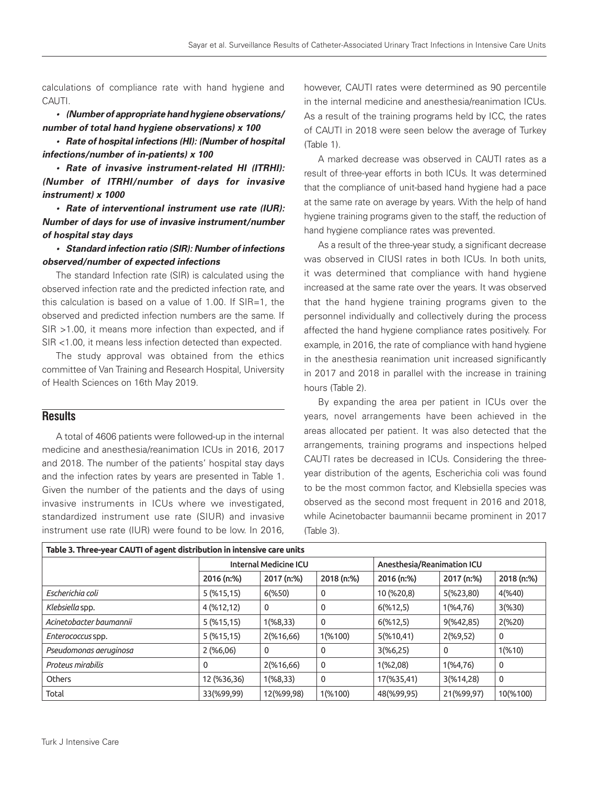calculations of compliance rate with hand hygiene and CAUTI.

**• (Number of appropriate hand hygiene observations/ number of total hand hygiene observations) x 100**

**• Rate of hospital infections (HI): (Number of hospital infections/number of in-patients) x 100**

**• Rate of invasive instrument-related HI (ITRHI): (Number of ITRHI/number of days for invasive instrument) x 1000**

**• Rate of interventional instrument use rate (IUR): Number of days for use of invasive instrument/number of hospital stay days**

**• Standard infection ratio (SIR): Number of infections observed/number of expected infections**

The standard Infection rate (SIR) is calculated using the observed infection rate and the predicted infection rate, and this calculation is based on a value of 1.00. If SIR=1, the observed and predicted infection numbers are the same. If SIR >1.00, it means more infection than expected, and if SIR <1.00, it means less infection detected than expected.

The study approval was obtained from the ethics committee of Van Training and Research Hospital, University of Health Sciences on 16th May 2019.

## **Results**

A total of 4606 patients were followed-up in the internal medicine and anesthesia/reanimation ICUs in 2016, 2017 and 2018. The number of the patients' hospital stay days and the infection rates by years are presented in Table 1. Given the number of the patients and the days of using invasive instruments in ICUs where we investigated, standardized instrument use rate (SIUR) and invasive instrument use rate (IUR) were found to be low. In 2016,

however, CAUTI rates were determined as 90 percentile in the internal medicine and anesthesia/reanimation ICUs. As a result of the training programs held by ICC, the rates of CAUTI in 2018 were seen below the average of Turkey (Table 1).

A marked decrease was observed in CAUTI rates as a result of three-year efforts in both ICUs. It was determined that the compliance of unit-based hand hygiene had a pace at the same rate on average by years. With the help of hand hygiene training programs given to the staff, the reduction of hand hygiene compliance rates was prevented.

As a result of the three-year study, a significant decrease was observed in CIUSI rates in both ICUs. In both units, it was determined that compliance with hand hygiene increased at the same rate over the years. It was observed that the hand hygiene training programs given to the personnel individually and collectively during the process affected the hand hygiene compliance rates positively. For example, in 2016, the rate of compliance with hand hygiene in the anesthesia reanimation unit increased significantly in 2017 and 2018 in parallel with the increase in training hours (Table 2).

By expanding the area per patient in ICUs over the years, novel arrangements have been achieved in the areas allocated per patient. It was also detected that the arrangements, training programs and inspections helped CAUTI rates be decreased in ICUs. Considering the threeyear distribution of the agents, Escherichia coli was found to be the most common factor, and Klebsiella species was observed as the second most frequent in 2016 and 2018, while Acinetobacter baumannii became prominent in 2017 (Table 3).

| Table 3. Three-year CAUTI of agent distribution in intensive care units |              |                              |             |                            |             |            |  |  |  |
|-------------------------------------------------------------------------|--------------|------------------------------|-------------|----------------------------|-------------|------------|--|--|--|
|                                                                         |              | <b>Internal Medicine ICU</b> |             | Anesthesia/Reanimation ICU |             |            |  |  |  |
|                                                                         | 2016 (n:%)   | 2017 (n:%)                   | 2018 (n:%)  | 2016 (n:%)                 | 2017 (n:%)  | 2018 (n:%) |  |  |  |
| Escherichia coli                                                        | $5($ %15,15) | $6$ (%50)                    | 0           | 10 (%20,8)                 | 5(%23,80)   | 4(%40)     |  |  |  |
| Klebsiella spp.                                                         | 4 (%12,12)   | $\mathbf 0$                  | $\mathbf 0$ | 6(%12,5)                   | 1(%4,76)    | 3(%30)     |  |  |  |
| Acinetobacter baumannii                                                 | $5($ %15,15) | 1(%8,33)                     | $\mathbf 0$ | 6(%12,5)                   | 9(%42,85)   | 2(%20)     |  |  |  |
| Enterococcus spp.                                                       | $5($ %15,15) | 2(%16,66)                    | 1(%100)     | 5(%10,41)                  | 2(%9,52)    | 0          |  |  |  |
| Pseudomonas aeruginosa                                                  | 2(%6,06)     | $\mathbf 0$                  | $\mathbf 0$ | 3(%6,25)                   | $\mathbf 0$ | 1(%10)     |  |  |  |
| Proteus mirabilis                                                       | 0            | 2(%16,66)                    | $\mathbf 0$ | 1(%2,08)                   | 1(%4,76)    | 0          |  |  |  |
| Others                                                                  | 12 (%36,36)  | 1(%8,33)                     | $\mathbf 0$ | 17(%35,41)                 | 3(%14,28)   | 0          |  |  |  |
| Total                                                                   | 33(%99,99)   | 12(%99,98)                   | 1(%100)     | 48(%99,95)                 | 21(%99,97)  | 10(%100)   |  |  |  |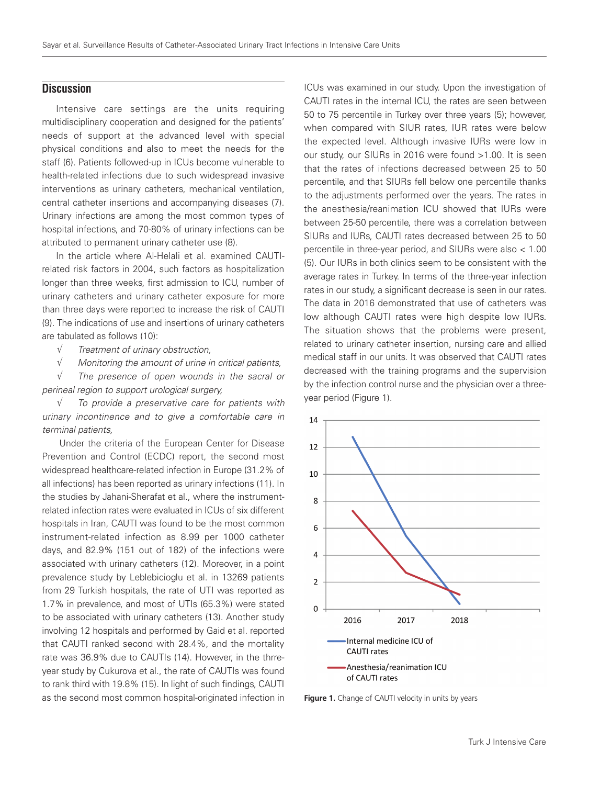## **Discussion**

Intensive care settings are the units requiring multidisciplinary cooperation and designed for the patients' needs of support at the advanced level with special physical conditions and also to meet the needs for the staff (6). Patients followed-up in ICUs become vulnerable to health-related infections due to such widespread invasive interventions as urinary catheters, mechanical ventilation, central catheter insertions and accompanying diseases (7). Urinary infections are among the most common types of hospital infections, and 70-80% of urinary infections can be attributed to permanent urinary catheter use (8).

In the article where Al-Helali et al. examined CAUTIrelated risk factors in 2004, such factors as hospitalization longer than three weeks, first admission to ICU, number of urinary catheters and urinary catheter exposure for more than three days were reported to increase the risk of CAUTI (9). The indications of use and insertions of urinary catheters are tabulated as follows (10):

- √ Treatment of urinary obstruction,
- $\sqrt{ }$  Monitoring the amount of urine in critical patients,

 $\sqrt{ }$  The presence of open wounds in the sacral or perineal region to support urological surgery,

 $\sqrt{ }$  To provide a preservative care for patients with urinary incontinence and to give a comfortable care in terminal patients,

 Under the criteria of the European Center for Disease Prevention and Control (ECDC) report, the second most widespread healthcare-related infection in Europe (31.2% of all infections) has been reported as urinary infections (11). In the studies by Jahani-Sherafat et al., where the instrumentrelated infection rates were evaluated in ICUs of six different hospitals in Iran, CAUTI was found to be the most common instrument-related infection as 8.99 per 1000 catheter days, and 82.9% (151 out of 182) of the infections were associated with urinary catheters (12). Moreover, in a point prevalence study by Leblebicioglu et al. in 13269 patients from 29 Turkish hospitals, the rate of UTI was reported as 1.7% in prevalence, and most of UTIs (65.3%) were stated to be associated with urinary catheters (13). Another study involving 12 hospitals and performed by Gaid et al. reported that CAUTI ranked second with 28.4%, and the mortality rate was 36.9% due to CAUTIs (14). However, in the thrreyear study by Cukurova et al., the rate of CAUTIs was found to rank third with 19.8% (15). In light of such findings, CAUTI as the second most common hospital-originated infection in

ICUs was examined in our study. Upon the investigation of CAUTI rates in the internal ICU, the rates are seen between 50 to 75 percentile in Turkey over three years (5); however, when compared with SIUR rates, IUR rates were below the expected level. Although invasive IURs were low in our study, our SIURs in 2016 were found >1.00. It is seen that the rates of infections decreased between 25 to 50 percentile, and that SIURs fell below one percentile thanks to the adjustments performed over the years. The rates in the anesthesia/reanimation ICU showed that IURs were between 25-50 percentile, there was a correlation between SIURs and IURs, CAUTI rates decreased between 25 to 50 percentile in three-year period, and SIURs were also < 1.00 (5). Our IURs in both clinics seem to be consistent with the average rates in Turkey. In terms of the three-year infection rates in our study, a significant decrease is seen in our rates. The data in 2016 demonstrated that use of catheters was low although CAUTI rates were high despite low IURs. The situation shows that the problems were present, related to urinary catheter insertion, nursing care and allied medical staff in our units. It was observed that CAUTI rates decreased with the training programs and the supervision by the infection control nurse and the physician over a threeyear period (Figure 1).



Figure 1. Change of CAUTI velocity in units by years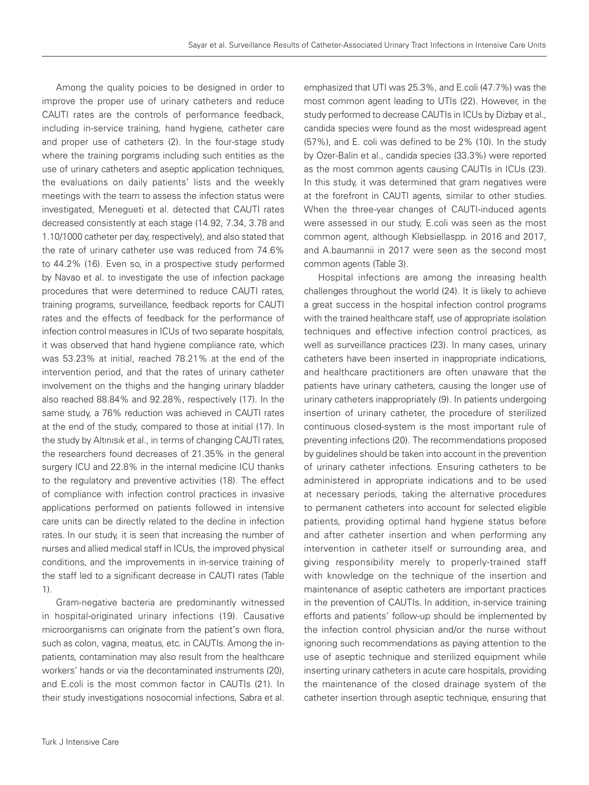Among the quality poicies to be designed in order to improve the proper use of urinary catheters and reduce CAUTI rates are the controls of performance feedback, including in-service training, hand hygiene, catheter care and proper use of catheters (2). In the four-stage study where the training porgrams including such entities as the use of urinary catheters and aseptic application techniques, the evaluations on daily patients' lists and the weekly meetings with the team to assess the infection status were investigated, Menegueti et al. detected that CAUTI rates decreased consistently at each stage (14.92, 7.34, 3.78 and 1.10/1000 catheter per day, respectively), and also stated that the rate of urinary catheter use was reduced from 74.6% to 44.2% (16). Even so, in a prospective study performed by Navao et al. to investigate the use of infection package procedures that were determined to reduce CAUTI rates, training programs, surveillance, feedback reports for CAUTI rates and the effects of feedback for the performance of infection control measures in ICUs of two separate hospitals, it was observed that hand hygiene compliance rate, which was 53.23% at initial, reached 78.21% at the end of the intervention period, and that the rates of urinary catheter involvement on the thighs and the hanging urinary bladder also reached 88.84% and 92.28%, respectively (17). In the same study, a 76% reduction was achieved in CAUTI rates at the end of the study, compared to those at initial (17). In the study by Altınısık et al., in terms of changing CAUTI rates, the researchers found decreases of 21.35% in the general surgery ICU and 22.8% in the internal medicine ICU thanks to the regulatory and preventive activities (18). The effect of compliance with infection control practices in invasive applications performed on patients followed in intensive care units can be directly related to the decline in infection rates. In our study, it is seen that increasing the number of nurses and allied medical staff in ICUs, the improved physical conditions, and the improvements in in-service training of the staff led to a significant decrease in CAUTI rates (Table 1).

Gram-negative bacteria are predominantly witnessed in hospital-originated urinary infections (19). Causative microorganisms can originate from the patient's own flora, such as colon, vagina, meatus, etc. in CAUTIs. Among the inpatients, contamination may also result from the healthcare workers' hands or via the decontaminated instruments (20), and E.coli is the most common factor in CAUTIs (21). In their study investigations nosocomial infections, Sabra et al.

emphasized that UTI was 25.3%, and E.coli (47.7%) was the most common agent leading to UTIs (22). However, in the study performed to decrease CAUTIs in ICUs by Dizbay et al., candida species were found as the most widespread agent (57%), and E. coli was defined to be 2% (10). In the study by Ozer-Balin et al., candida species (33.3%) were reported as the most common agents causing CAUTIs in ICUs (23). In this study, it was determined that gram negatives were at the forefront in CAUTI agents, similar to other studies. When the three-year changes of CAUTI-induced agents were assessed in our study, E.coli was seen as the most common agent, although Klebsiellaspp. in 2016 and 2017, and A.baumannii in 2017 were seen as the second most common agents (Table 3).

Hospital infections are among the inreasing health challenges throughout the world (24). It is likely to achieve a great success in the hospital infection control programs with the trained healthcare staff, use of appropriate isolation techniques and effective infection control practices, as well as surveillance practices (23). In many cases, urinary catheters have been inserted in inappropriate indications, and healthcare practitioners are often unaware that the patients have urinary catheters, causing the longer use of urinary catheters inappropriately (9). In patients undergoing insertion of urinary catheter, the procedure of sterilized continuous closed-system is the most important rule of preventing infections (20). The recommendations proposed by guidelines should be taken into account in the prevention of urinary catheter infections. Ensuring catheters to be administered in appropriate indications and to be used at necessary periods, taking the alternative procedures to permanent catheters into account for selected eligible patients, providing optimal hand hygiene status before and after catheter insertion and when performing any intervention in catheter itself or surrounding area, and giving responsibility merely to properly-trained staff with knowledge on the technique of the insertion and maintenance of aseptic catheters are important practices in the prevention of CAUTIs. In addition, in-service training efforts and patients' follow-up should be implemented by the infection control physician and/or the nurse without ignoring such recommendations as paying attention to the use of aseptic technique and sterilized equipment while inserting urinary catheters in acute care hospitals, providing the maintenance of the closed drainage system of the catheter insertion through aseptic technique, ensuring that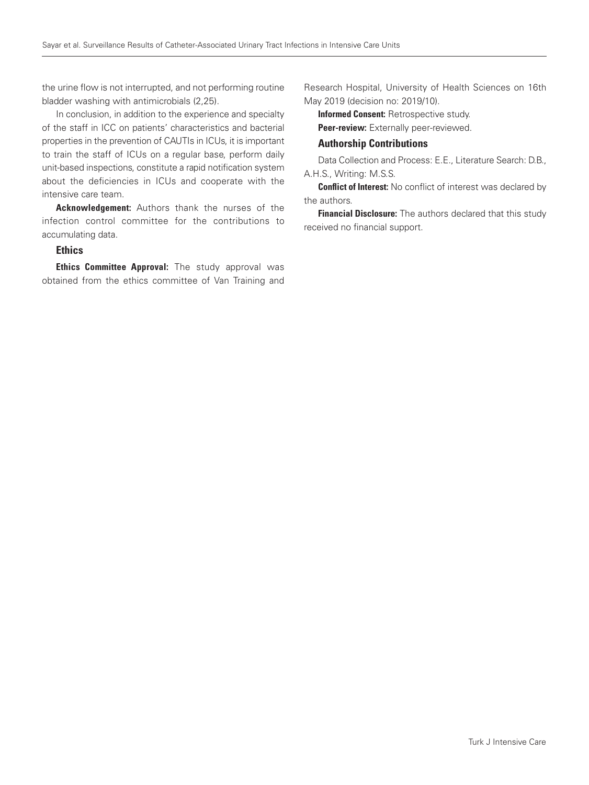the urine flow is not interrupted, and not performing routine bladder washing with antimicrobials (2,25).

In conclusion, in addition to the experience and specialty of the staff in ICC on patients' characteristics and bacterial properties in the prevention of CAUTIs in ICUs, it is important to train the staff of ICUs on a regular base, perform daily unit-based inspections, constitute a rapid notification system about the deficiencies in ICUs and cooperate with the intensive care team.

Acknowledgement: Authors thank the nurses of the infection control committee for the contributions to accumulating data.

## Ethics

**Ethics Committee Approval:** The study approval was obtained from the ethics committee of Van Training and

Research Hospital, University of Health Sciences on 16th May 2019 (decision no: 2019/10).

Informed Consent: Retrospective study.

Peer-review: Externally peer-reviewed.

## Authorship Contributions

Data Collection and Process: E.E., Literature Search: D.B., A.H.S., Writing: M.S.S.

**Conflict of Interest:** No conflict of interest was declared by the authors.

**Financial Disclosure:** The authors declared that this study received no financial support.